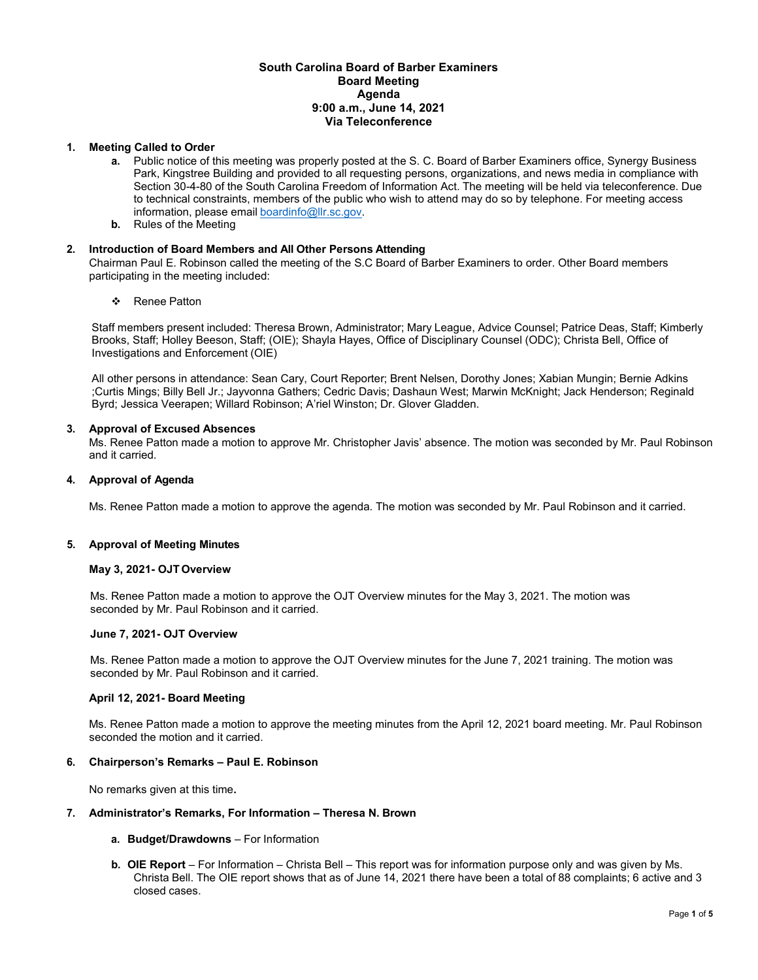## **South Carolina Board of Barber Examiners Board Meeting Agenda 9:00 a.m., June 14, 2021 Via Teleconference**

## **1. Meeting Called to Order**

- **a.** Public notice of this meeting was properly posted at the S. C. Board of Barber Examiners office, Synergy Business Park, Kingstree Building and provided to all requesting persons, organizations, and news media in compliance with Section 30-4-80 of the South Carolina Freedom of Information Act. The meeting will be held via teleconference. Due to technical constraints, members of the public who wish to attend may do so by telephone. For meeting access information, please email [boardinfo@llr.sc.gov.](mailto:boardinfo@llr.sc.gov)
- **b.** Rules of the Meeting

## **2. Introduction of Board Members and All Other Persons Attending**

Chairman Paul E. Robinson called the meeting of the S.C Board of Barber Examiners to order. Other Board members participating in the meeting included:

❖ Renee Patton

Staff members present included: Theresa Brown, Administrator; Mary League, Advice Counsel; Patrice Deas, Staff; Kimberly Brooks, Staff; Holley Beeson, Staff; (OIE); Shayla Hayes, Office of Disciplinary Counsel (ODC); Christa Bell, Office of Investigations and Enforcement (OIE)

All other persons in attendance: Sean Cary, Court Reporter; Brent Nelsen, Dorothy Jones; Xabian Mungin; Bernie Adkins ;Curtis Mings; Billy Bell Jr.; Jayvonna Gathers; Cedric Davis; Dashaun West; Marwin McKnight; Jack Henderson; Reginald Byrd; Jessica Veerapen; Willard Robinson; A'riel Winston; Dr. Glover Gladden.

## **3. Approval of Excused Absences**

Ms. Renee Patton made a motion to approve Mr. Christopher Javis' absence. The motion was seconded by Mr. Paul Robinson and it carried.

## **4. Approval of Agenda**

Ms. Renee Patton made a motion to approve the agenda. The motion was seconded by Mr. Paul Robinson and it carried.

#### **5. Approval of Meeting Minutes**

### **May 3, 2021- OJT Overview**

Ms. Renee Patton made a motion to approve the OJT Overview minutes for the May 3, 2021. The motion was seconded by Mr. Paul Robinson and it carried.

#### **June 7, 2021- OJT Overview**

Ms. Renee Patton made a motion to approve the OJT Overview minutes for the June 7, 2021 training. The motion was seconded by Mr. Paul Robinson and it carried.

## **April 12, 2021- Board Meeting**

Ms. Renee Patton made a motion to approve the meeting minutes from the April 12, 2021 board meeting. Mr. Paul Robinson seconded the motion and it carried.

## **6. Chairperson's Remarks – Paul E. Robinson**

No remarks given at this time**.**

### **7. Administrator's Remarks, For Information – Theresa N. Brown**

#### **a. Budget/Drawdowns** – For Information

**b. OIE Report** – For Information – Christa Bell – This report was for information purpose only and was given by Ms. Christa Bell. The OIE report shows that as of June 14, 2021 there have been a total of 88 complaints; 6 active and 3 closed cases.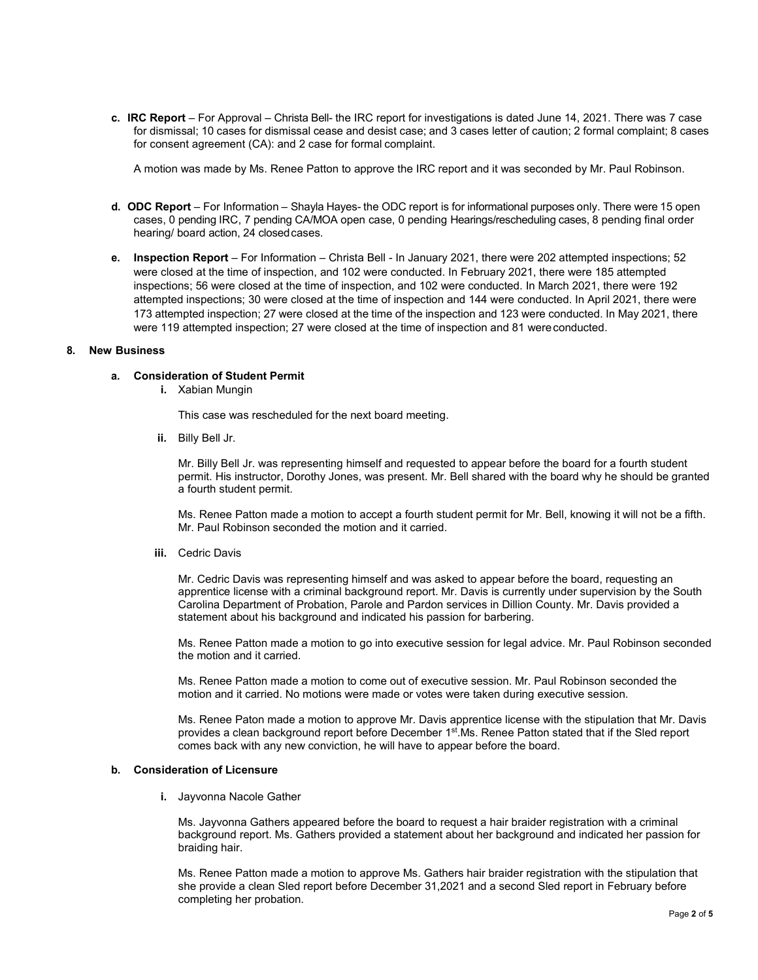**c. IRC Report** – For Approval – Christa Bell- the IRC report for investigations is dated June 14, 2021. There was 7 case for dismissal; 10 cases for dismissal cease and desist case; and 3 cases letter of caution; 2 formal complaint; 8 cases for consent agreement (CA): and 2 case for formal complaint.

A motion was made by Ms. Renee Patton to approve the IRC report and it was seconded by Mr. Paul Robinson.

- **d. ODC Report** For Information Shayla Hayes- the ODC report is for informational purposes only. There were 15 open cases, 0 pending IRC, 7 pending CA/MOA open case, 0 pending Hearings/rescheduling cases, 8 pending final order hearing/ board action, 24 closedcases.
- **e. Inspection Report**  For Information Christa Bell In January 2021, there were 202 attempted inspections; 52 were closed at the time of inspection, and 102 were conducted. In February 2021, there were 185 attempted inspections; 56 were closed at the time of inspection, and 102 were conducted. In March 2021, there were 192 attempted inspections; 30 were closed at the time of inspection and 144 were conducted. In April 2021, there were 173 attempted inspection; 27 were closed at the time of the inspection and 123 were conducted. In May 2021, there were 119 attempted inspection; 27 were closed at the time of inspection and 81 wereconducted.

## **8. New Business**

## **a. Consideration of Student Permit**

**i.** Xabian Mungin

This case was rescheduled for the next board meeting.

**ii.** Billy Bell Jr.

Mr. Billy Bell Jr. was representing himself and requested to appear before the board for a fourth student permit. His instructor, Dorothy Jones, was present. Mr. Bell shared with the board why he should be granted a fourth student permit.

Ms. Renee Patton made a motion to accept a fourth student permit for Mr. Bell, knowing it will not be a fifth. Mr. Paul Robinson seconded the motion and it carried.

**iii.** Cedric Davis

Mr. Cedric Davis was representing himself and was asked to appear before the board, requesting an apprentice license with a criminal background report. Mr. Davis is currently under supervision by the South Carolina Department of Probation, Parole and Pardon services in Dillion County. Mr. Davis provided a statement about his background and indicated his passion for barbering.

Ms. Renee Patton made a motion to go into executive session for legal advice. Mr. Paul Robinson seconded the motion and it carried.

Ms. Renee Patton made a motion to come out of executive session. Mr. Paul Robinson seconded the motion and it carried. No motions were made or votes were taken during executive session.

Ms. Renee Paton made a motion to approve Mr. Davis apprentice license with the stipulation that Mr. Davis provides a clean background report before December 1<sup>st</sup>.Ms. Renee Patton stated that if the Sled report comes back with any new conviction, he will have to appear before the board.

#### **b. Consideration of Licensure**

**i.** Jayvonna Nacole Gather

Ms. Jayvonna Gathers appeared before the board to request a hair braider registration with a criminal background report. Ms. Gathers provided a statement about her background and indicated her passion for braiding hair.

Ms. Renee Patton made a motion to approve Ms. Gathers hair braider registration with the stipulation that she provide a clean Sled report before December 31,2021 and a second Sled report in February before completing her probation.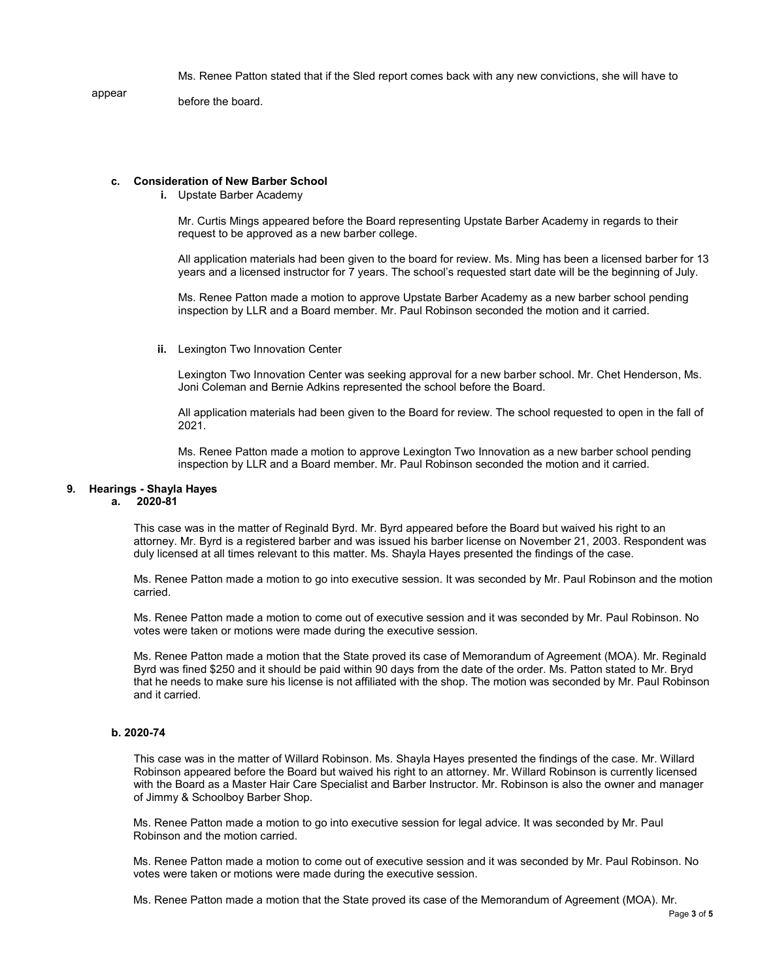Ms. Renee Patton stated that if the Sled report comes back with any new convictions, she will have to

appear

before the board.

### **c. Consideration of New Barber School**

**i.** Upstate Barber Academy

Mr. Curtis Mings appeared before the Board representing Upstate Barber Academy in regards to their request to be approved as a new barber college.

All application materials had been given to the board for review. Ms. Ming has been a licensed barber for 13 years and a licensed instructor for 7 years. The school's requested start date will be the beginning of July.

Ms. Renee Patton made a motion to approve Upstate Barber Academy as a new barber school pending inspection by LLR and a Board member. Mr. Paul Robinson seconded the motion and it carried.

**ii.** Lexington Two Innovation Center

Lexington Two Innovation Center was seeking approval for a new barber school. Mr. Chet Henderson, Ms. Joni Coleman and Bernie Adkins represented the school before the Board.

All application materials had been given to the Board for review. The school requested to open in the fall of 2021.

Ms. Renee Patton made a motion to approve Lexington Two Innovation as a new barber school pending inspection by LLR and a Board member. Mr. Paul Robinson seconded the motion and it carried.

### **9. Hearings - Shayla Hayes**

## **a. 2020-81**

This case was in the matter of Reginald Byrd. Mr. Byrd appeared before the Board but waived his right to an attorney. Mr. Byrd is a registered barber and was issued his barber license on November 21, 2003. Respondent was duly licensed at all times relevant to this matter. Ms. Shayla Hayes presented the findings of the case.

Ms. Renee Patton made a motion to go into executive session. It was seconded by Mr. Paul Robinson and the motion carried.

Ms. Renee Patton made a motion to come out of executive session and it was seconded by Mr. Paul Robinson. No votes were taken or motions were made during the executive session.

Ms. Renee Patton made a motion that the State proved its case of Memorandum of Agreement (MOA). Mr. Reginald Byrd was fined \$250 and it should be paid within 90 days from the date of the order. Ms. Patton stated to Mr. Bryd that he needs to make sure his license is not affiliated with the shop. The motion was seconded by Mr. Paul Robinson and it carried.

## **b. 2020-74**

This case was in the matter of Willard Robinson. Ms. Shayla Hayes presented the findings of the case. Mr. Willard Robinson appeared before the Board but waived his right to an attorney. Mr. Willard Robinson is currently licensed with the Board as a Master Hair Care Specialist and Barber Instructor. Mr. Robinson is also the owner and manager of Jimmy & Schoolboy Barber Shop.

Ms. Renee Patton made a motion to go into executive session for legal advice. It was seconded by Mr. Paul Robinson and the motion carried.

Ms. Renee Patton made a motion to come out of executive session and it was seconded by Mr. Paul Robinson. No votes were taken or motions were made during the executive session.

Ms. Renee Patton made a motion that the State proved its case of the Memorandum of Agreement (MOA). Mr.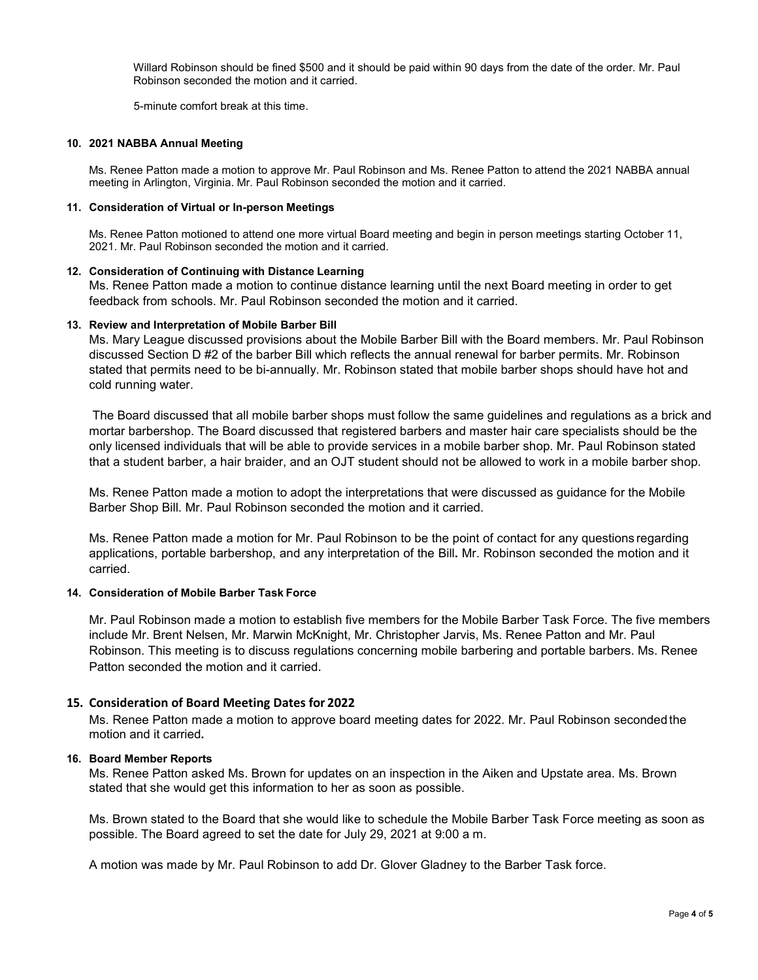Willard Robinson should be fined \$500 and it should be paid within 90 days from the date of the order. Mr. Paul Robinson seconded the motion and it carried.

5-minute comfort break at this time.

## **10. 2021 NABBA Annual Meeting**

Ms. Renee Patton made a motion to approve Mr. Paul Robinson and Ms. Renee Patton to attend the 2021 NABBA annual meeting in Arlington, Virginia. Mr. Paul Robinson seconded the motion and it carried.

## **11. Consideration of Virtual or In-person Meetings**

Ms. Renee Patton motioned to attend one more virtual Board meeting and begin in person meetings starting October 11, 2021. Mr. Paul Robinson seconded the motion and it carried.

## **12. Consideration of Continuing with Distance Learning**

Ms. Renee Patton made a motion to continue distance learning until the next Board meeting in order to get feedback from schools. Mr. Paul Robinson seconded the motion and it carried.

## **13. Review and Interpretation of Mobile Barber Bill**

Ms. Mary League discussed provisions about the Mobile Barber Bill with the Board members. Mr. Paul Robinson discussed Section D #2 of the barber Bill which reflects the annual renewal for barber permits. Mr. Robinson stated that permits need to be bi-annually. Mr. Robinson stated that mobile barber shops should have hot and cold running water.

The Board discussed that all mobile barber shops must follow the same guidelines and regulations as a brick and mortar barbershop. The Board discussed that registered barbers and master hair care specialists should be the only licensed individuals that will be able to provide services in a mobile barber shop. Mr. Paul Robinson stated that a student barber, a hair braider, and an OJT student should not be allowed to work in a mobile barber shop.

Ms. Renee Patton made a motion to adopt the interpretations that were discussed as guidance for the Mobile Barber Shop Bill. Mr. Paul Robinson seconded the motion and it carried.

Ms. Renee Patton made a motion for Mr. Paul Robinson to be the point of contact for any questions regarding applications, portable barbershop, and any interpretation of the Bill**.** Mr. Robinson seconded the motion and it carried.

## **14. Consideration of Mobile Barber Task Force**

Mr. Paul Robinson made a motion to establish five members for the Mobile Barber Task Force. The five members include Mr. Brent Nelsen, Mr. Marwin McKnight, Mr. Christopher Jarvis, Ms. Renee Patton and Mr. Paul Robinson. This meeting is to discuss regulations concerning mobile barbering and portable barbers. Ms. Renee Patton seconded the motion and it carried.

## **15. Consideration of Board Meeting Dates for 2022**

Ms. Renee Patton made a motion to approve board meeting dates for 2022. Mr. Paul Robinson secondedthe motion and it carried**.**

## **16. Board Member Reports**

Ms. Renee Patton asked Ms. Brown for updates on an inspection in the Aiken and Upstate area. Ms. Brown stated that she would get this information to her as soon as possible.

Ms. Brown stated to the Board that she would like to schedule the Mobile Barber Task Force meeting as soon as possible. The Board agreed to set the date for July 29, 2021 at 9:00 a m.

A motion was made by Mr. Paul Robinson to add Dr. Glover Gladney to the Barber Task force.